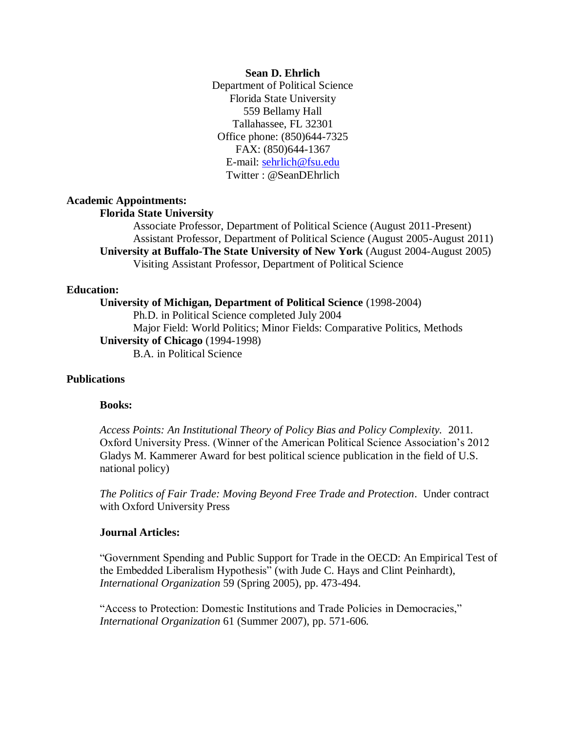#### **Sean D. Ehrlich**

Department of Political Science Florida State University 559 Bellamy Hall Tallahassee, FL 32301 Office phone: (850)644-7325 FAX: (850)644-1367 E-mail: [sehrlich@fsu.edu](mailto:sehrlich@fsu.edu) Twitter : @SeanDEhrlich

# **Academic Appointments:**

# **Florida State University**

Associate Professor, Department of Political Science (August 2011-Present) Assistant Professor, Department of Political Science (August 2005-August 2011) **University at Buffalo-The State University of New York** (August 2004-August 2005) Visiting Assistant Professor, Department of Political Science

### **Education:**

**University of Michigan, Department of Political Science** (1998-2004) Ph.D. in Political Science completed July 2004 Major Field: World Politics; Minor Fields: Comparative Politics, Methods **University of Chicago** (1994-1998) B.A. in Political Science

### **Publications**

#### **Books:**

*Access Points: An Institutional Theory of Policy Bias and Policy Complexity.* 2011. Oxford University Press. (Winner of the American Political Science Association's 2012 Gladys M. Kammerer Award for best political science publication in the field of U.S. national policy)

*The Politics of Fair Trade: Moving Beyond Free Trade and Protection*. Under contract with Oxford University Press

### **Journal Articles:**

"Government Spending and Public Support for Trade in the OECD: An Empirical Test of the Embedded Liberalism Hypothesis" (with Jude C. Hays and Clint Peinhardt), *International Organization* 59 (Spring 2005), pp. 473-494.

"Access to Protection: Domestic Institutions and Trade Policies in Democracies," *International Organization* 61 (Summer 2007), pp. 571-606*.*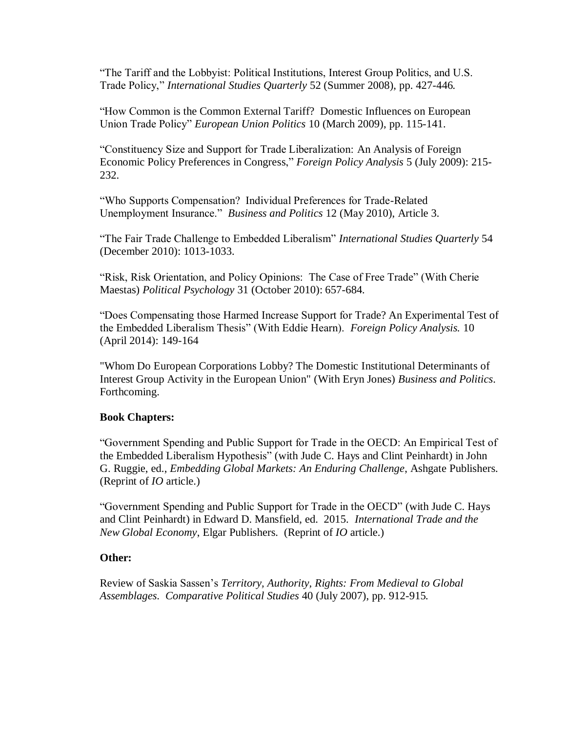"The Tariff and the Lobbyist: Political Institutions, Interest Group Politics, and U.S. Trade Policy," *International Studies Quarterly* 52 (Summer 2008), pp. 427-446*.*

"How Common is the Common External Tariff? Domestic Influences on European Union Trade Policy" *European Union Politics* 10 (March 2009), pp. 115-141.

"Constituency Size and Support for Trade Liberalization: An Analysis of Foreign Economic Policy Preferences in Congress," *Foreign Policy Analysis* 5 (July 2009): 215- 232.

"Who Supports Compensation? Individual Preferences for Trade-Related Unemployment Insurance."*Business and Politics* 12 (May 2010), Article 3*.*

"The Fair Trade Challenge to Embedded Liberalism" *International Studies Quarterly* 54 (December 2010): 1013-1033.

"Risk, Risk Orientation, and Policy Opinions: The Case of Free Trade" (With Cherie Maestas) *Political Psychology* 31 (October 2010): 657-684*.*

"Does Compensating those Harmed Increase Support for Trade? An Experimental Test of the Embedded Liberalism Thesis" (With Eddie Hearn). *Foreign Policy Analysis.* 10 (April 2014): 149-164

"Whom Do European Corporations Lobby? The Domestic Institutional Determinants of Interest Group Activity in the European Union" (With Eryn Jones) *Business and Politics*. Forthcoming.

## **Book Chapters:**

"Government Spending and Public Support for Trade in the OECD: An Empirical Test of the Embedded Liberalism Hypothesis" (with Jude C. Hays and Clint Peinhardt) in John G. Ruggie, ed., *Embedding Global Markets: An Enduring Challenge*, Ashgate Publishers. (Reprint of *IO* article.)

"Government Spending and Public Support for Trade in the OECD" (with Jude C. Hays and Clint Peinhardt) in Edward D. Mansfield, ed. 2015. *International Trade and the New Global Economy*, Elgar Publishers. (Reprint of *IO* article.)

## **Other:**

Review of Saskia Sassen's *Territory, Authority, Rights: From Medieval to Global Assemblages*. *Comparative Political Studies* 40 (July 2007), pp. 912-915*.*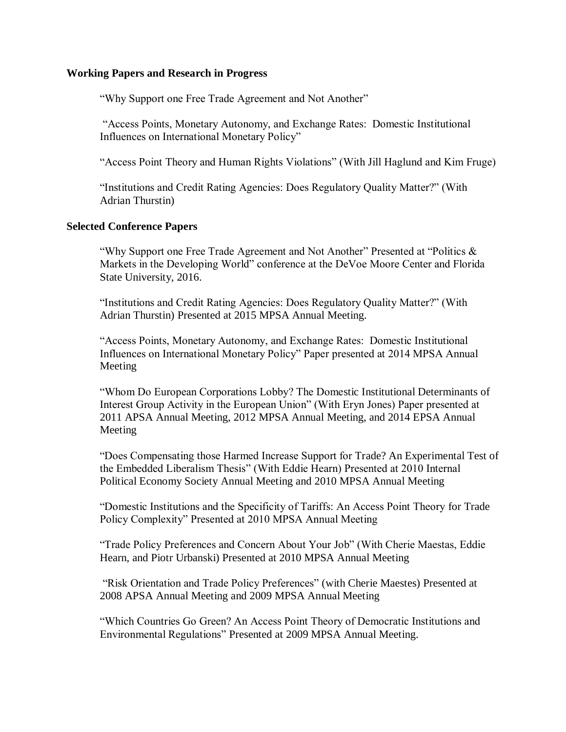### **Working Papers and Research in Progress**

"Why Support one Free Trade Agreement and Not Another"

"Access Points, Monetary Autonomy, and Exchange Rates: Domestic Institutional Influences on International Monetary Policy"

"Access Point Theory and Human Rights Violations" (With Jill Haglund and Kim Fruge)

"Institutions and Credit Rating Agencies: Does Regulatory Quality Matter?" (With Adrian Thurstin)

### **Selected Conference Papers**

"Why Support one Free Trade Agreement and Not Another" Presented at "Politics  $\&$ Markets in the Developing World" conference at the DeVoe Moore Center and Florida State University, 2016.

"Institutions and Credit Rating Agencies: Does Regulatory Quality Matter?" (With Adrian Thurstin) Presented at 2015 MPSA Annual Meeting.

"Access Points, Monetary Autonomy, and Exchange Rates: Domestic Institutional Influences on International Monetary Policy" Paper presented at 2014 MPSA Annual Meeting

"Whom Do European Corporations Lobby? The Domestic Institutional Determinants of Interest Group Activity in the European Union" (With Eryn Jones) Paper presented at 2011 APSA Annual Meeting, 2012 MPSA Annual Meeting, and 2014 EPSA Annual Meeting

"Does Compensating those Harmed Increase Support for Trade? An Experimental Test of the Embedded Liberalism Thesis" (With Eddie Hearn) Presented at 2010 Internal Political Economy Society Annual Meeting and 2010 MPSA Annual Meeting

"Domestic Institutions and the Specificity of Tariffs: An Access Point Theory for Trade Policy Complexity" Presented at 2010 MPSA Annual Meeting

"Trade Policy Preferences and Concern About Your Job" (With Cherie Maestas, Eddie Hearn, and Piotr Urbanski) Presented at 2010 MPSA Annual Meeting

"Risk Orientation and Trade Policy Preferences" (with Cherie Maestes) Presented at 2008 APSA Annual Meeting and 2009 MPSA Annual Meeting

"Which Countries Go Green? An Access Point Theory of Democratic Institutions and Environmental Regulations" Presented at 2009 MPSA Annual Meeting.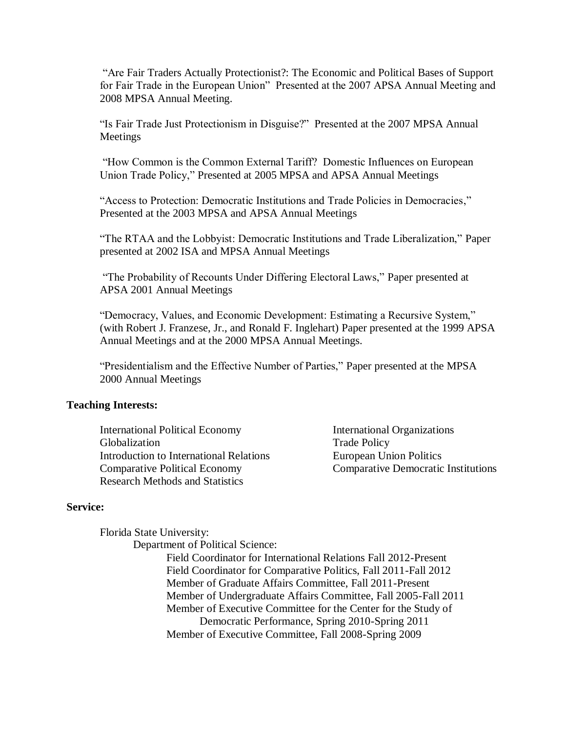"Are Fair Traders Actually Protectionist?: The Economic and Political Bases of Support for Fair Trade in the European Union" Presented at the 2007 APSA Annual Meeting and 2008 MPSA Annual Meeting.

"Is Fair Trade Just Protectionism in Disguise?" Presented at the 2007 MPSA Annual Meetings

"How Common is the Common External Tariff? Domestic Influences on European Union Trade Policy," Presented at 2005 MPSA and APSA Annual Meetings

"Access to Protection: Democratic Institutions and Trade Policies in Democracies," Presented at the 2003 MPSA and APSA Annual Meetings

"The RTAA and the Lobbyist: Democratic Institutions and Trade Liberalization," Paper presented at 2002 ISA and MPSA Annual Meetings

"The Probability of Recounts Under Differing Electoral Laws," Paper presented at APSA 2001 Annual Meetings

"Democracy, Values, and Economic Development: Estimating a Recursive System," (with Robert J. Franzese, Jr., and Ronald F. Inglehart) Paper presented at the 1999 APSA Annual Meetings and at the 2000 MPSA Annual Meetings.

"Presidentialism and the Effective Number of Parties," Paper presented at the MPSA 2000 Annual Meetings

### **Teaching Interests:**

International Political Economy International Organizations Globalization Trade Policy Introduction to International Relations European Union Politics Comparative Political Economy Comparative Democratic Institutions Research Methods and Statistics

### **Service:**

Florida State University:

Department of Political Science:

Field Coordinator for International Relations Fall 2012-Present Field Coordinator for Comparative Politics, Fall 2011-Fall 2012 Member of Graduate Affairs Committee, Fall 2011-Present Member of Undergraduate Affairs Committee, Fall 2005-Fall 2011 Member of Executive Committee for the Center for the Study of Democratic Performance, Spring 2010-Spring 2011 Member of Executive Committee, Fall 2008-Spring 2009